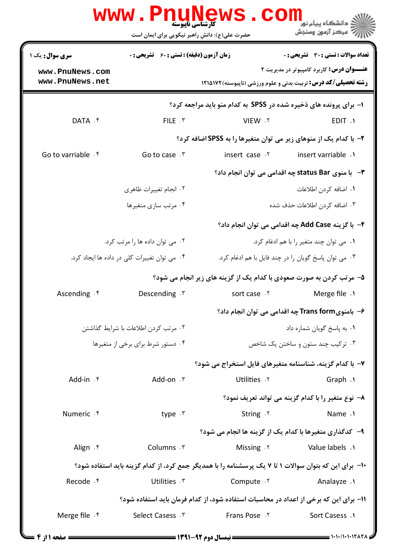|                                                                                       | WW.PNUNE<br><b>کارشناسی ناپیوسته</b><br>حضرت علی(ع): دانش راهبر نیکویی برای ایمان است |                                                                                                       | ه دانشگاه پيام نو <mark>ر</mark><br>7' مرڪز آزمون وسنڊش              |  |
|---------------------------------------------------------------------------------------|---------------------------------------------------------------------------------------|-------------------------------------------------------------------------------------------------------|----------------------------------------------------------------------|--|
| <b>سری سوال :</b> یک ۱                                                                | <b>زمان آزمون (دقیقه) : تستی : 60 ٪ تشریحی : 0</b>                                    |                                                                                                       | تعداد سوالات : تستي : 30 ٪ تشريحي : 0                                |  |
| www.PnuNews.com                                                                       |                                                                                       |                                                                                                       | <b>عنـــوان درس:</b> کاربرد کامپیوتر در مدیریت ۲                     |  |
| www.PnuNews.net                                                                       |                                                                                       |                                                                                                       | <b>رشته تحصیلی/کد درس:</b> تربیت بدنی و علوم ورزشی (ناپیوسته)۱۲۱۵۱۷۲ |  |
|                                                                                       |                                                                                       | 1- برای پرونده های ذخیره شده در SPSS به کدام منو باید مراجعه کرد؟                                     |                                                                      |  |
| DATA . f                                                                              | $FILE \cdot Y$                                                                        | VIEW .Y                                                                                               | EDIT .1                                                              |  |
|                                                                                       |                                                                                       | ۲- با کدام یک از منوهای زیر می توان متغیرها را به SPSS اضافه کرد؟                                     |                                                                      |  |
| Go to varriable . f                                                                   | Go to case $\cdot$ $\cdot$                                                            | insert case .Y                                                                                        | insert varriable .                                                   |  |
|                                                                                       |                                                                                       |                                                                                                       | ۳- با منوی status Bar چه اقدامی می توان انجام داد؟                   |  |
|                                                                                       | ٠٢ انجام تغييرات ظاهري                                                                |                                                                                                       | ٠١. اضافه كردن اطلاعات                                               |  |
|                                                                                       | ۰۴ مرتب سازي متغيرها                                                                  |                                                                                                       | ۰۳ اضافه کردن اطلاعات حذف شده                                        |  |
|                                                                                       |                                                                                       |                                                                                                       | ۴- با گزینه Add Case چه اقدامی می توان انجام داد؟                    |  |
|                                                                                       | ۰۲ می توان داده ها را مرتب کرد.                                                       |                                                                                                       | ۰۱ می توان چند متغیر را با هم ادغام کرد.                             |  |
|                                                                                       | ۰۴ می توان تغییرات کلی در داده ها ایجاد کرد.                                          |                                                                                                       | ۰۳ می توان پاسخ گویان را در چند فایل با هم ادغام کرد.                |  |
|                                                                                       |                                                                                       | ۵- مرتب کردن به صورت صعودی با کدام یک از گزینه های زیر انجام می شود؟                                  |                                                                      |  |
| Ascending $\cdot$ <sup>e</sup>                                                        | Descending . \v                                                                       | sort case . Y                                                                                         | Merge file .1                                                        |  |
|                                                                                       |                                                                                       |                                                                                                       | ۶–  بامنویTrans form چه اقدامی می توان انجام داد؟                    |  |
|                                                                                       | ٢. مرتب كردن اطلاعات با شرايط گذاشتن                                                  |                                                                                                       | ٠١. به ياسخ گويان شماره داد                                          |  |
|                                                                                       | ۰۴ دستور شرط برای برخی از متغیرها<br>۰۳ ترکیب چند ستون و ساختن یک شاخص                |                                                                                                       |                                                                      |  |
|                                                                                       |                                                                                       | ۷- با کدام گزینه، شناسنامه متغیرهای فایل استخراج می شود؟                                              |                                                                      |  |
| Add-in f                                                                              | Add-on . ۳                                                                            | Utilities . Y                                                                                         | Graph .                                                              |  |
|                                                                                       |                                                                                       |                                                                                                       | ٨− نوع متغیر را با کدام گزینه می تواند تعریف نمود؟                   |  |
| Numeric . f                                                                           | type . ۳                                                                              | String . ٢                                                                                            | Name .1                                                              |  |
|                                                                                       |                                                                                       | ۹- كدگذاري متغيرها با كدام يك از گزينه ها انجام مي شود؟                                               |                                                                      |  |
| Align . ۴                                                                             | Columns . ٣                                                                           | Missing $.7$                                                                                          | Value labels .1                                                      |  |
|                                                                                       |                                                                                       | ۱۰− برای این که بتوان سوالات ۱ تا ۷ یک پرسشنامه را با همدیگر جمع کرد، از کدام گزینه باید استفاده شود؟ |                                                                      |  |
| Recode .f                                                                             | Utilities . \v                                                                        | Compute .Y                                                                                            | Analayze .1                                                          |  |
| 1۱– برای این که برخی از اعداد در محاسبات استفاده شود، از کدام فرمان باید استفاده شود؟ |                                                                                       |                                                                                                       |                                                                      |  |
| Merge file $\cdot$ $\uparrow$                                                         | Select Casess . ٣                                                                     | <b>Frans Pose</b> . ٢                                                                                 | Sort Casess .1                                                       |  |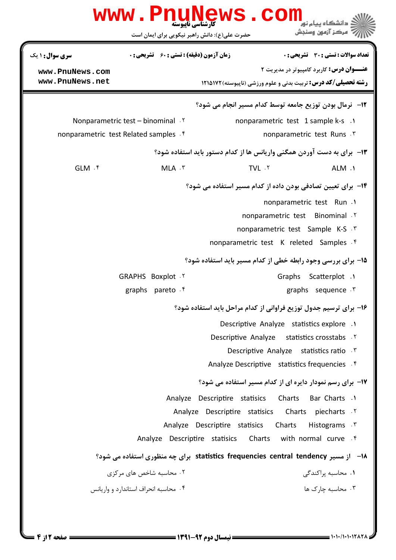|                                                                      | <b>WWW.PNUNEWS</b><br><b>کارشناسی ناپیوسته</b><br>حضرت علی(ع): دانش راهبر نیکویی برای ایمان است | COM                                                                                                        | د دانشگاه بيام نو <mark>ر</mark><br>رِ ۖ مرڪز آزمون وسنڊش |
|----------------------------------------------------------------------|-------------------------------------------------------------------------------------------------|------------------------------------------------------------------------------------------------------------|-----------------------------------------------------------|
| سری سوال : ۱ یک                                                      | <b>زمان آزمون (دقیقه) : تستی : 60 ٪ تشریحی : 0</b>                                              |                                                                                                            | <b>تعداد سوالات : تستی : 30 ٪ تشریحی : 0</b>              |
| www.PnuNews.com                                                      |                                                                                                 |                                                                                                            | <b>عنـــوان درس:</b> کاربرد کامپیوتر در مدیریت ۲          |
| www.PnuNews.net                                                      |                                                                                                 | <b>رشته تحصیلی/کد درس:</b> تربیت بدنی و علوم ورزشی (ناپیوسته)1218121                                       |                                                           |
|                                                                      |                                                                                                 | <b>۱۲</b> - نرمال بودن توزیع جامعه توسط کدام مسیر انجام می شود؟                                            |                                                           |
|                                                                      | Nonparametric test – binominal $X$                                                              | nonparametric test 1 sample k-s .1                                                                         |                                                           |
|                                                                      | nonparametric test Related samples . f                                                          |                                                                                                            | nonparametric test Runs . ٣                               |
|                                                                      |                                                                                                 | ۱۳- برای به دست آوردن همگنی واریانس ها از کدام دستور باید استفاده شود؟                                     |                                                           |
| $GLM.$ $\uparrow$                                                    | MLA . ٣                                                                                         | TVL .Y                                                                                                     | ALM .                                                     |
| <b>۱۴</b> - برای تعیین تصادفی بودن داده از کدام مسیر استفاده می شود؟ |                                                                                                 |                                                                                                            |                                                           |
|                                                                      |                                                                                                 |                                                                                                            | nonparametric test Run .1                                 |
|                                                                      |                                                                                                 | nonparametric test Binominal .Y                                                                            |                                                           |
|                                                                      |                                                                                                 | nonparametric test Sample K-S . \vari                                                                      |                                                           |
|                                                                      |                                                                                                 | nonparametric test K releted Samples f                                                                     |                                                           |
|                                                                      |                                                                                                 | 15- برای بررسی وجود رابطه خطی از کدام مسیر باید استفاده شود؟                                               |                                                           |
|                                                                      | GRAPHS Boxplot . ٢                                                                              |                                                                                                            | Graphs Scatterplot .1                                     |
|                                                                      | graphs pareto f                                                                                 |                                                                                                            | graphs sequence $\cdot$                                   |
|                                                                      | ۱۶– برای ترسیم جدول توزیع فراوانی از کدام مراحل باید استفاده شود؟                               |                                                                                                            |                                                           |
|                                                                      |                                                                                                 | Descriptive Analyze statistics explore .1                                                                  |                                                           |
|                                                                      |                                                                                                 | Descriptive Analyze statistics crosstabs . Y                                                               |                                                           |
|                                                                      |                                                                                                 | Descriptive Analyze statistics ratio . \vare \muslem \muslem \muslem \muslem \muslem \muslem \muslem \musl |                                                           |
|                                                                      |                                                                                                 | Analyze Descriptive statistics frequencies f                                                               |                                                           |
|                                                                      |                                                                                                 | <b>۱۷</b> - برای رسم نمودار دایره ای از کدام مسیر استفاده می شود؟                                          |                                                           |
|                                                                      |                                                                                                 | Analyze Descriptire statisics Charts Bar Charts .1                                                         |                                                           |
|                                                                      |                                                                                                 | Analyze Descriptire statisics                                                                              | Charts piecharts Y                                        |
|                                                                      |                                                                                                 | Analyze Descriptire statisics<br>Charts                                                                    | <sup>۳</sup> . Histograms                                 |
|                                                                      | Analyze Descriptire statisics                                                                   | Charts with normal curve . f                                                                               |                                                           |
|                                                                      | 1۸– از مسیر statistics frequencies central tendency برای چه منظوری استفاده می شود؟              |                                                                                                            |                                                           |
|                                                                      | ۰۲ محاسبه شاخص های مرکزی                                                                        |                                                                                                            | ۰۱ محاسبه پراکندگی                                        |
|                                                                      | ۰۴ محاسبه انحراف استاندارد و وار بانس                                                           |                                                                                                            | ۰۳ محاسبه چارک ها                                         |
|                                                                      |                                                                                                 |                                                                                                            |                                                           |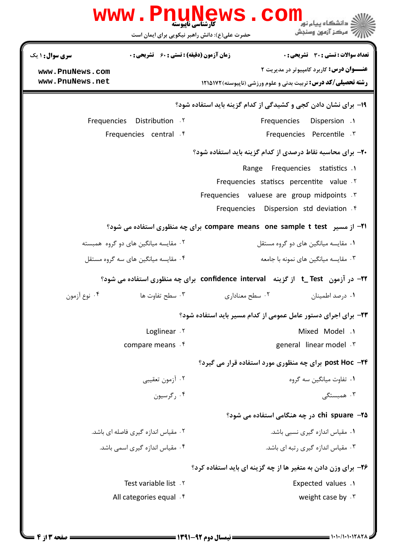| WWW.FIIUIY                                                                   | ه دانشگاه پیام نو <mark>ر</mark><br>کارشناسی ناپیوسته<br>" مرڪز آزمون وسنڊش<br>حضرت علی(ع): دانش راهبر نیکویی برای ایمان است |
|------------------------------------------------------------------------------|------------------------------------------------------------------------------------------------------------------------------|
| <b>زمان آزمون (دقیقه) : تستی : 60 ٪ تشریحی : 0</b><br><b>سری سوال : ۱ یک</b> | تعداد سوالات : تستى : 30 - تشريحي : 0                                                                                        |
| www.PnuNews.com                                                              | <b>عنـــوان درس:</b> کاربرد کامپیوتر در مدیریت ۲                                                                             |
| www.PnuNews.net                                                              | <b>رشته تحصیلی/کد درس:</b> تربیت بدنی و علوم ورزشی (ناپیوسته)1215121 13                                                      |
|                                                                              | ۱۹- برای نشان دادن کجی و کشیدگی از کدام گزینه باید استفاده شود؟                                                              |
| <b>Frequencies</b> Distribution Y                                            | <b>Frequencies</b> Dispersion .1                                                                                             |
| Frequencies central f                                                        | Frequencies Percentile . ٣                                                                                                   |
|                                                                              | ۲۰- برای محاسبه نقاط درصدی از کدام گزینه باید استفاده شود؟                                                                   |
|                                                                              | Range Frequencies statistics .1                                                                                              |
|                                                                              | Frequencies statiscs percentite value .Y                                                                                     |
|                                                                              | Frequencies valuese are group midpoints .                                                                                    |
|                                                                              | Frequencies Dispersion std deviation f                                                                                       |
|                                                                              | ۲۱− از مسیر   compare means  one sample t test برای چه منظوری استفاده می شود؟                                                |
| ۰۲ مقایسه میانگین های دو گروه همبسته                                         | ۰۱ مقایسه میانگین های دو گروه مستقل                                                                                          |
| ۰۴ مقایسه میانگین های سه گروه مستقل                                          | ۰۳ مقایسه میانگین های نمونه با جامعه                                                                                         |
|                                                                              | 22- در آزمون   t_ Test  از گزینه   confidence  interval  برای چه منظوری استفاده می شود؟                                      |
| ۰۴ نوع آزمون<br>۰۳ سطح تفاوت ها                                              | ۰۲ سطح معناداری<br>۰۱ درصد اطمینان                                                                                           |
|                                                                              | ۲۳- برای اجرای دستور عامل عمومی از کدام مسیر باید استفاده شود؟                                                               |
| Loglinear . ٢                                                                | Mixed Model .1                                                                                                               |
| compare means . f                                                            | general linear model . \v                                                                                                    |
|                                                                              | <b>post Hoc -۲۴</b> برای چه منظوری مورد استفاده قرار می گیرد؟                                                                |
| ۰۲ آزمون تعقيبي                                                              | ۰۱ تفاوت میانگین سه گروه                                                                                                     |
| ۰۴ گرسیون                                                                    | ۰۳ همبستگی                                                                                                                   |
|                                                                              | chi spuare -۲۵ در چه هنگامی استفاده می شود؟                                                                                  |
| ۲. مقیاس اندازه گیری فاصله ای باشد.                                          | ۰۱ مقیاس اندازه گیری نسبی باشد.                                                                                              |
| ۰۴ مقیاس اندازه گیری اسمی باشد.                                              | ۰۳ مقیاس اندازه گیری رتبه ای باشد.                                                                                           |
|                                                                              | ۲۶- برای وزن دادن به متغیر ها از چه گزینه ای باید استفاده کرد؟                                                               |
| Test variable list . ٢                                                       | <b>Expected values .1</b>                                                                                                    |
| All categories equal f                                                       | weight case by $.7$                                                                                                          |
|                                                                              |                                                                                                                              |